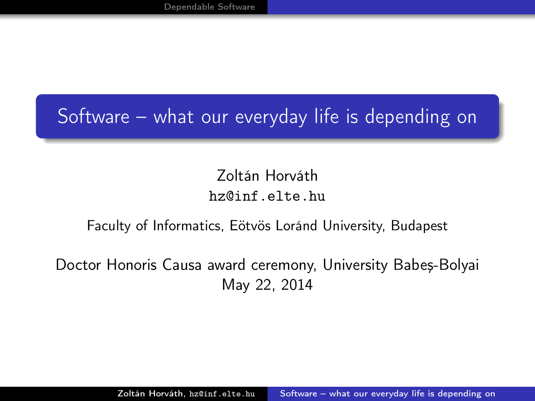### Software – what our everyday life is depending on

<span id="page-0-0"></span>Zoltán Horváth hz@inf.elte.hu

#### Faculty of Informatics, Eötvös Loránd University, Budapest

Doctor Honoris Causa award ceremony, University Babeş-Bolyai May 22, 2014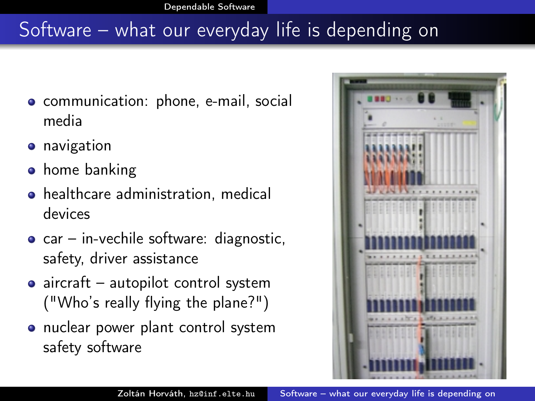# Software – what our everyday life is depending on

- **•** communication: phone, e-mail, social media
- **•** navigation
- **•** home banking
- healthcare administration, medical devices
- $\bullet$  car in-vechile software: diagnostic, safety, driver assistance
- aircraft autopilot control system ("Who's really flying the plane?")
- nuclear power plant control system safety software

<span id="page-1-0"></span>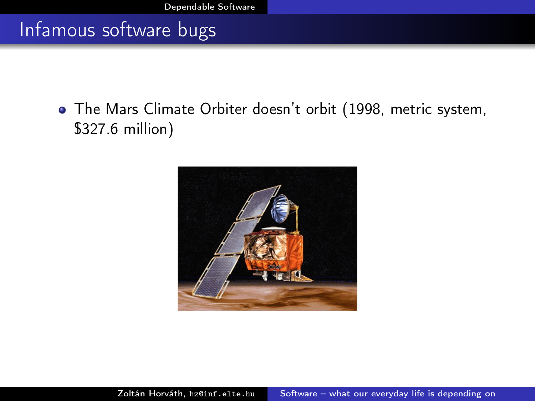#### Infamous software bugs

The Mars Climate Orbiter doesn't orbit (1998, metric system, \$327.6 million)

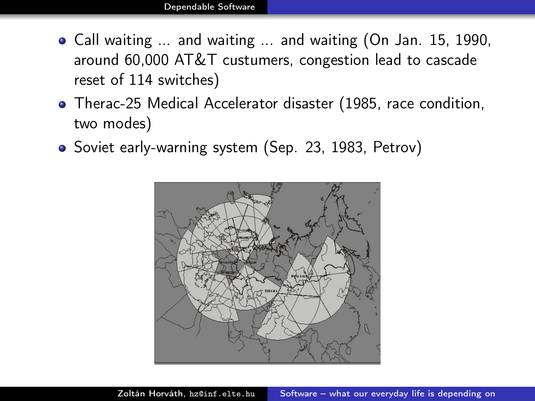- Call waiting ... and waiting ... and waiting (On Jan. 15, 1990, around 60,000 AT&T custumers, congestion lead to cascade reset of 114 switches)
- Therac-25 Medical Accelerator disaster (1985, race condition, two modes)
- Soviet early-warning system (Sep. 23, 1983, Petrov)

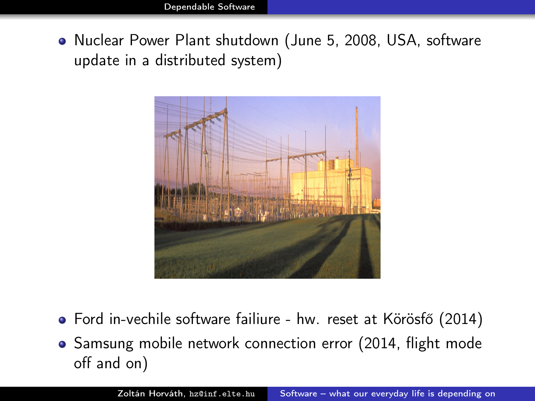Nuclear Power Plant shutdown (June 5, 2008, USA, software update in a distributed system)



- Ford in-vechile software failiure hw. reset at Körösfő (2014)
- Samsung mobile network connection error (2014, flight mode off and on)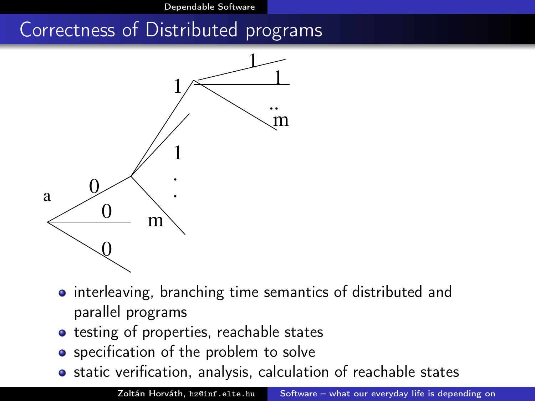[Dependable Software](#page-1-0)

#### Correctness of Distributed programs



- interleaving, branching time semantics of distributed and parallel programs
- **•** testing of properties, reachable states
- **•** specification of the problem to solve
- **•** static verification, analysis, calculation of reachable states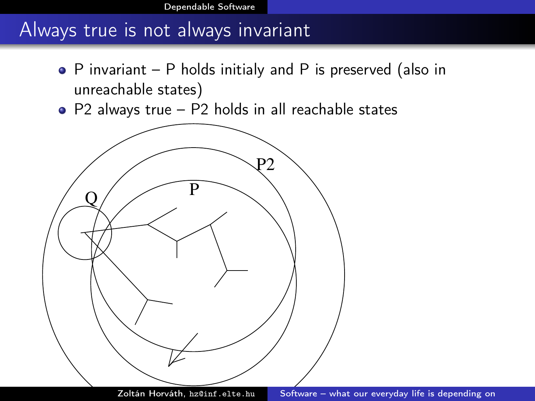[Dependable Software](#page-1-0)

#### Always true is not always invariant

- P invariant P holds initialy and P is preserved (also in unreachable states)
- P2 always true P2 holds in all reachable states

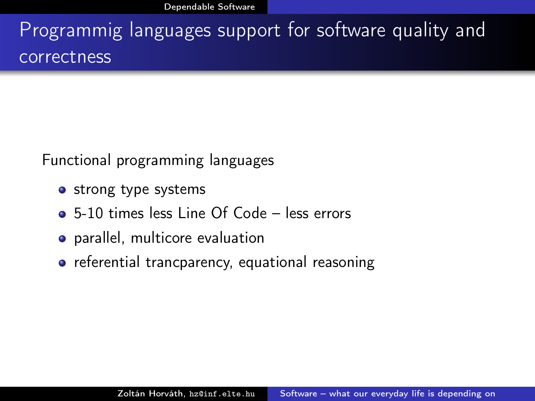Programmig languages support for software quality and correctness

Functional programming languages

- strong type systems
- 5-10 times less Line Of Code less errors
- parallel, multicore evaluation
- referential trancparency, equational reasoning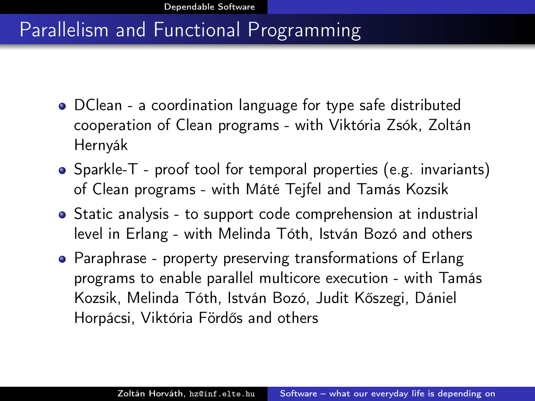#### Parallelism and Functional Programming

- DClean a coordination language for type safe distributed cooperation of Clean programs - with Viktória Zsók, Zoltán Hernyák
- Sparkle-T proof tool for temporal properties (e.g. invariants) of Clean programs - with Máté Tejfel and Tamás Kozsik
- Static analysis to support code comprehension at industrial level in Erlang - with Melinda Tóth, István Bozó and others
- Paraphrase property preserving transformations of Erlang programs to enable parallel multicore execution - with Tamás Kozsik, Melinda Tóth, István Bozó, Judit Kőszegi, Dániel Horpácsi, Viktória Fördős and others